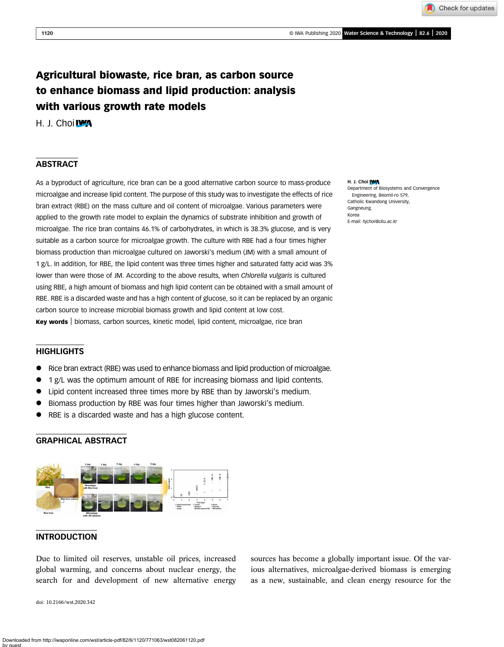Check for updates

# Agricultural biowaste, rice bran, as carbon source to enhance biomass and lipid production: analysis with various growth rate models

 $H \perp$  Choi**IWA** 

# **ABSTRACT**

As a byproduct of agriculture, rice bran can be a good alternative carbon source to mass-produce microalgae and increase lipid content. The purpose of this study was to investigate the effects of rice bran extract (RBE) on the mass culture and oil content of microalgae. Various parameters were applied to the growth rate model to explain the dynamics of substrate inhibition and growth of microalgae. The rice bran contains 46.1% of carbohydrates, in which is 38.3% glucose, and is very suitable as a carbon source for microalgae growth. The culture with RBE had a four times higher biomass production than microalgae cultured on Jaworski's medium (JM) with a small amount of 1 g/L. In addition, for RBE, the lipid content was three times higher and saturated fatty acid was 3% lower than were those of JM. According to the above results, when Chlorella vulgaris is cultured using RBE, a high amount of biomass and high lipid content can be obtained with a small amount of RBE. RBE is a discarded waste and has a high content of glucose, so it can be replaced by an organic carbon source to increase microbial biomass growth and lipid content at low cost. Key words | biomass, carbon sources, kinetic model, lipid content, microalgae, rice bran

## H. J. Choi IWA

Department of Biosystems and Convergence Engineering, Beomil-ro 579, Catholic Kwandong University, Gangneung, Korea E-mail: [hjchoi@cku.ac.kr](mailto:hjchoi@cku.ac.kr)

# **HIGHLIGHTS**

- Rice bran extract (RBE) was used to enhance biomass and lipid production of microalgae.
- 1 g/L was the optimum amount of RBE for increasing biomass and lipid contents.
- Lipid content increased three times more by RBE than by Jaworski's medium.
- Biomass production by RBE was four times higher than Jaworski's medium.
- RBE is a discarded waste and has a high glucose content.

# GRAPHICAL ABSTRACT



# **INTRODUCTION**

Due to limited oil reserves, unstable oil prices, increased global warming, and concerns about nuclear energy, the search for and development of new alternative energy

sources has become a globally important issue. Of the various alternatives, microalgae-derived biomass is emerging as a new, sustainable, and clean energy resource for the

doi: 10.2166/wst.2020.342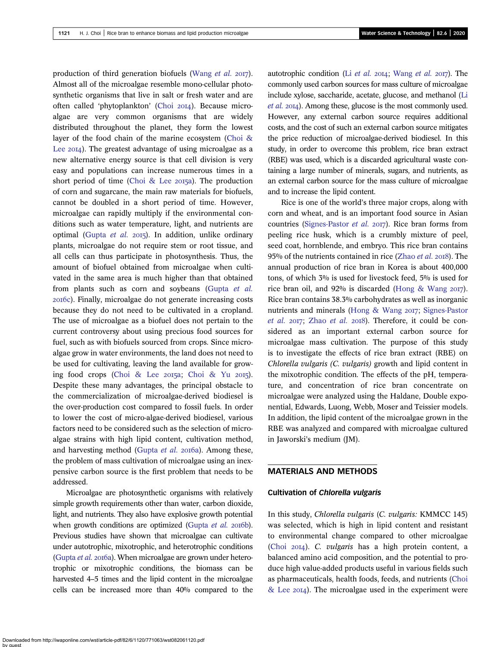production of third generation biofuels [\(Wang](#page-10-0) et al.  $2017$ ). Almost all of the microalgae resemble mono-cellular photosynthetic organisms that live in salt or fresh water and are often called 'phytoplankton' [\(Choi](#page-9-0) 2014). Because microalgae are very common organisms that are widely distributed throughout the planet, they form the lowest layer of the food chain of the marine ecosystem [\(Choi &](#page-9-0) Lee  $20I4$ ). The greatest advantage of using microalgae as a new alternative energy source is that cell division is very easy and populations can increase numerous times in a short period of time [\(Choi & Lee](#page-9-0)  $2015a$ ). The production of corn and sugarcane, the main raw materials for biofuels, cannot be doubled in a short period of time. However, microalgae can rapidly multiply if the environmental conditions such as water temperature, light, and nutrients are optimal [\(Gupta](#page-9-0) et al.  $2015$ ). In addition, unlike ordinary plants, microalgae do not require stem or root tissue, and all cells can thus participate in photosynthesis. Thus, the amount of biofuel obtained from microalgae when cultivated in the same area is much higher than that obtained from plants such as corn and soybeans [\(Gupta](#page-9-0) et al. c). Finally, microalgae do not generate increasing costs because they do not need to be cultivated in a cropland. The use of microalgae as a biofuel does not pertain to the current controversy about using precious food sources for fuel, such as with biofuels sourced from crops. Since microalgae grow in water environments, the land does not need to be used for cultivating, leaving the land available for grow-ing food crops ([Choi & Lee](#page-9-0)  $2015a$ ; [Choi & Yu](#page-9-0)  $2015$ ). Despite these many advantages, the principal obstacle to the commercialization of microalgae-derived biodiesel is the over-production cost compared to fossil fuels. In order to lower the cost of micro-algae-derived biodiesel, various factors need to be considered such as the selection of microalgae strains with high lipid content, cultivation method, and harvesting method ([Gupta](#page-9-0) et al.  $2016a$ ). Among these, the problem of mass cultivation of microalgae using an inexpensive carbon source is the first problem that needs to be addressed.

Microalgae are photosynthetic organisms with relatively simple growth requirements other than water, carbon dioxide, light, and nutrients. They also have explosive growth potential when growth conditions are optimized [\(Gupta](#page-9-0) *et al.* 2016b). Previous studies have shown that microalgae can cultivate under autotrophic, mixotrophic, and heterotrophic conditions [\(Gupta](#page-9-0) et al. 2016a). When microalgae are grown under heterotrophic or mixotrophic conditions, the biomass can be harvested 4–5 times and the lipid content in the microalgae cells can be increased more than 40% compared to the autotrophic condition (Li [et al.](#page-10-0) 2014; [Wang](#page-10-0) et al. 2017). The commonly used carbon sources for mass culture of microalgae include xylose, saccharide, acetate, glucose, and methanol ([Li](#page-10-0) [et al.](#page-10-0) 2014). Among these, glucose is the most commonly used. However, any external carbon source requires additional costs, and the cost of such an external carbon source mitigates the price reduction of microalgae-derived biodiesel. In this study, in order to overcome this problem, rice bran extract (RBE) was used, which is a discarded agricultural waste containing a large number of minerals, sugars, and nutrients, as an external carbon source for the mass culture of microalgae and to increase the lipid content.

Rice is one of the world's three major crops, along with corn and wheat, and is an important food source in Asian countries [\(Signes-Pastor](#page-10-0) et al. 2017). Rice bran forms from peeling rice husk, which is a crumbly mixture of peel, seed coat, hornblende, and embryo. This rice bran contains 95% of the nutrients contained in rice ([Zhao](#page-10-0) et al. 2018). The annual production of rice bran in Korea is about 400,000 tons, of which 3% is used for livestock feed, 5% is used for rice bran oil, and  $92\%$  is discarded [\(Hong & Wang](#page-10-0) 2017). Rice bran contains 38.3% carbohydrates as well as inorganic nutrients and minerals [\(Hong & Wang](#page-10-0) 2017; [Signes-Pastor](#page-10-0) [et al.](#page-10-0)  $2017$ ; [Zhao](#page-10-0) et al.  $2018$ ). Therefore, it could be considered as an important external carbon source for microalgae mass cultivation. The purpose of this study is to investigate the effects of rice bran extract (RBE) on Chlorella vulgaris (C. vulgaris) growth and lipid content in the mixotrophic condition. The effects of the pH, temperature, and concentration of rice bran concentrate on microalgae were analyzed using the Haldane, Double exponential, Edwards, Luong, Webb, Moser and Teissier models. In addition, the lipid content of the microalgae grown in the RBE was analyzed and compared with microalgae cultured in Jaworski's medium (JM).

# MATERIALS AND METHODS

#### Cultivation of Chlorella vulgaris

In this study, Chlorella vulgaris (C. vulgaris: KMMCC 145) was selected, which is high in lipid content and resistant to environmental change compared to other microalgae [\(Choi](#page-9-0) 2014). C. vulgaris has a high protein content, a balanced amino acid composition, and the potential to produce high value-added products useful in various fields such as pharmaceuticals, health foods, feeds, and nutrients [\(Choi](#page-9-0)  $&$  Lee 2014). The microalgae used in the experiment were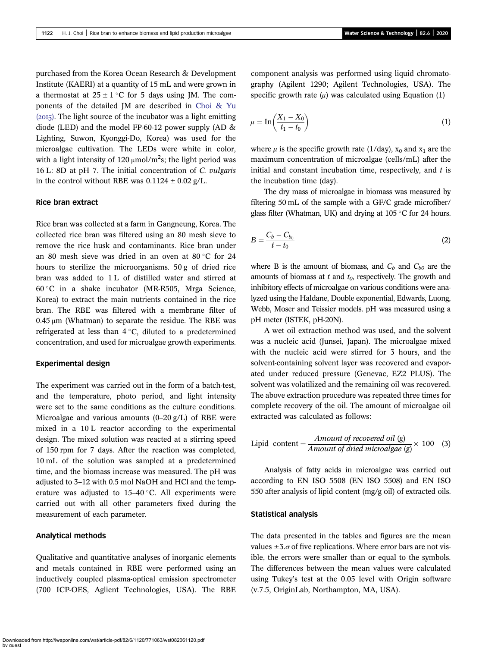purchased from the Korea Ocean Research & Development Institute (KAERI) at a quantity of 15 mL and were grown in a thermostat at  $25 \pm 1$  °C for 5 days using JM. The components of the detailed JM are described in [Choi & Yu](#page-9-0)  $(20I5)$ . The light source of the incubator was a light emitting diode (LED) and the model FP-60-12 power supply (AD & Lighting, Suwon, Kyonggi-Do, Korea) was used for the microalgae cultivation. The LEDs were white in color, with a light intensity of 120  $\mu$ mol/m<sup>2</sup>s; the light period was 16 L: 8D at pH 7. The initial concentration of C. vulgaris in the control without RBE was  $0.1124 \pm 0.02$  g/L.

#### Rice bran extract

Rice bran was collected at a farm in Gangneung, Korea. The collected rice bran was filtered using an 80 mesh sieve to remove the rice husk and contaminants. Rice bran under an 80 mesh sieve was dried in an oven at 80 $\degree$ C for 24 hours to sterilize the microorganisms. 50 g of dried rice bran was added to 1 L of distilled water and stirred at  $60^{\circ}$ C in a shake incubator (MR-R505, Mrga Science, Korea) to extract the main nutrients contained in the rice bran. The RBE was filtered with a membrane filter of  $0.45 \mu m$  (Whatman) to separate the residue. The RBE was refrigerated at less than  $4^{\circ}$ C, diluted to a predetermined concentration, and used for microalgae growth experiments.

#### Experimental design

The experiment was carried out in the form of a batch-test, and the temperature, photo period, and light intensity were set to the same conditions as the culture conditions. Microalgae and various amounts (0–20 g/L) of RBE were mixed in a 10 L reactor according to the experimental design. The mixed solution was reacted at a stirring speed of 150 rpm for 7 days. After the reaction was completed, 10 mL of the solution was sampled at a predetermined time, and the biomass increase was measured. The pH was adjusted to 3–12 with 0.5 mol NaOH and HCl and the temperature was adjusted to  $15-40$  °C. All experiments were carried out with all other parameters fixed during the measurement of each parameter.

#### Analytical methods

Qualitative and quantitative analyses of inorganic elements and metals contained in RBE were performed using an inductively coupled plasma-optical emission spectrometer (700 ICP-OES, Aglient Technologies, USA). The RBE component analysis was performed using liquid chromatography (Agilent 1290; Agilent Technologies, USA). The specific growth rate  $(\mu)$  was calculated using Equation (1)

$$
\mu = \ln\left(\frac{X_1 - X_0}{t_1 - t_0}\right) \tag{1}
$$

where  $\mu$  is the specific growth rate (1/day),  $x_0$  and  $x_1$  are the maximum concentration of microalgae (cells/mL) after the initial and constant incubation time, respectively, and  $t$  is the incubation time (day).

The dry mass of microalgae in biomass was measured by filtering 50 mL of the sample with a GF/C grade microfiber/ glass filter (Whatman, UK) and drying at  $105^{\circ}$ C for 24 hours.

$$
B=\frac{C_b-C_{b_0}}{t-t_0}\tag{2}
$$

where B is the amount of biomass, and  $C_b$  and  $C_{b0}$  are the amounts of biomass at  $t$  and  $t_0$ , respectively. The growth and inhibitory effects of microalgae on various conditions were analyzed using the Haldane, Double exponential, Edwards, Luong, Webb, Moser and Teissier models. pH was measured using a pH meter (ISTEK, pH-20N).

A wet oil extraction method was used, and the solvent was a nucleic acid (Junsei, Japan). The microalgae mixed with the nucleic acid were stirred for 3 hours, and the solvent-containing solvent layer was recovered and evaporated under reduced pressure (Genevac, EZ2 PLUS). The solvent was volatilized and the remaining oil was recovered. The above extraction procedure was repeated three times for complete recovery of the oil. The amount of microalgae oil extracted was calculated as follows:

Lipid content = 
$$
\frac{Amount \ of \ recovered \ oil \ (g)}{Amount \ of \ dried \ microalgae \ (g)} \times 100
$$
 (3)

Analysis of fatty acids in microalgae was carried out according to EN ISO 5508 (EN ISO 5508) and EN ISO 550 after analysis of lipid content (mg/g oil) of extracted oils.

#### Statistical analysis

The data presented in the tables and figures are the mean values  $\pm 3.\sigma$  of five replications. Where error bars are not visible, the errors were smaller than or equal to the symbols. The differences between the mean values were calculated using Tukey's test at the 0.05 level with Origin software (v.7.5, OriginLab, Northampton, MA, USA).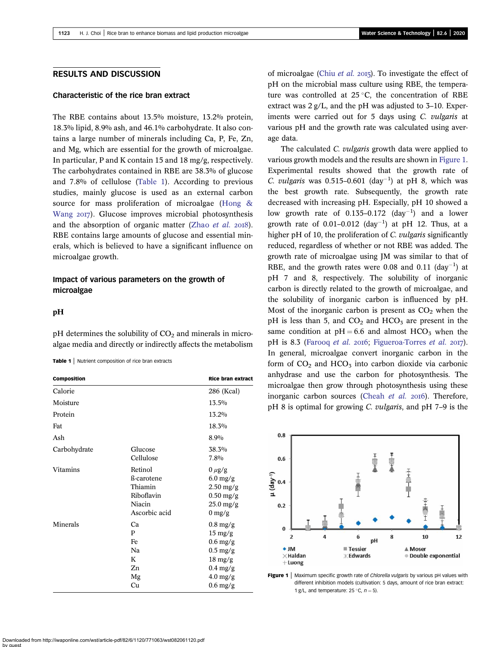## RESULTS AND DISCUSSION

## Characteristic of the rice bran extract

The RBE contains about 13.5% moisture, 13.2% protein, 18.3% lipid, 8.9% ash, and 46.1% carbohydrate. It also contains a large number of minerals including Ca, P, Fe, Zn, and Mg, which are essential for the growth of microalgae. In particular, P and K contain 15 and 18 mg/g, respectively. The carbohydrates contained in RBE are 38.3% of glucose and 7.8% of cellulose (Table 1). According to previous studies, mainly glucose is used as an external carbon source for mass proliferation of microalgae [\(Hong &](#page-10-0) [Wang](#page-10-0) 2017). Glucose improves microbial photosynthesis and the absorption of organic matter [\(Zhao](#page-10-0)  $et$   $al.$  2018). RBE contains large amounts of glucose and essential minerals, which is believed to have a significant influence on microalgae growth.

## Impact of various parameters on the growth of microalgae

#### pH

pH determines the solubility of  $CO<sub>2</sub>$  and minerals in microalgae media and directly or indirectly affects the metabolism

Table 1 | Nutrient composition of rice bran extracts

| <b>Composition</b> |                                                                           | <b>Rice bran extract</b>                                                                                                                           |
|--------------------|---------------------------------------------------------------------------|----------------------------------------------------------------------------------------------------------------------------------------------------|
| Calorie            |                                                                           | 286 (Kcal)                                                                                                                                         |
| Moisture           |                                                                           | 13.5%                                                                                                                                              |
| Protein            |                                                                           | 13.2%                                                                                                                                              |
| Fat                |                                                                           | 18.3%                                                                                                                                              |
| Ash                |                                                                           | 8.9%                                                                                                                                               |
| Carbohydrate       | Glucose<br>Cellulose                                                      | 38.3%<br>7.8%                                                                                                                                      |
| Vitamins           | Retinol<br>ß-carotene<br>Thiamin<br>Riboflavin<br>Niacin<br>Ascorbic acid | $0 \mu g/g$<br>$6.0$ mg/g<br>$2.50$ mg/g<br>$0.50$ mg/g<br>$25.0$ mg/g<br>$0 \frac{\text{mg}}{\text{g}}$                                           |
| Minerals           | Ca<br>P<br>Fe<br>Na<br>K<br>Zn<br>Mg<br>Cu                                | $0.8 \text{ mg/g}$<br>$15 \text{ mg/g}$<br>$0.6$ mg/g<br>$0.5 \text{ mg/g}$<br>$18 \text{ mg/g}$<br>$0.4$ mg/g<br>$4.0 \frac{mg}{g}$<br>$0.6$ mg/g |

of microalgae (Chiu [et al.](#page-9-0) 2015). To investigate the effect of pH on the microbial mass culture using RBE, the temperature was controlled at  $25^{\circ}$ C, the concentration of RBE extract was 2 g/L, and the pH was adjusted to 3–10. Experiments were carried out for 5 days using C. vulgaris at various pH and the growth rate was calculated using average data.

The calculated C. *vulgaris* growth data were applied to various growth models and the results are shown in Figure 1. Experimental results showed that the growth rate of C. vulgaris was  $0.515-0.601$  (day<sup>-1</sup>) at pH 8, which was the best growth rate. Subsequently, the growth rate decreased with increasing pH. Especially, pH 10 showed a low growth rate of 0.135–0.172  $\text{(day}^{-1})$  and a lower growth rate of 0.01–0.012  $\text{(day}^{-1})$  at pH 12. Thus, at a higher pH of 10, the proliferation of C. vulgaris significantly reduced, regardless of whether or not RBE was added. The growth rate of microalgae using JM was similar to that of RBE, and the growth rates were 0.08 and 0.11  $\text{(day}^{-1})$  at pH 7 and 8, respectively. The solubility of inorganic carbon is directly related to the growth of microalgae, and the solubility of inorganic carbon is influenced by pH. Most of the inorganic carbon is present as  $CO<sub>2</sub>$  when the pH is less than 5, and  $CO<sub>2</sub>$  and  $HCO<sub>3</sub>$  are present in the same condition at  $pH = 6.6$  and almost  $HCO<sub>3</sub>$  when the pH is 8.3 ([Farooq](#page-9-0) *et al.* 2016; [Figueroa-Torres](#page-9-0) *et al.* 2017). In general, microalgae convert inorganic carbon in the form of  $CO<sub>2</sub>$  and  $HCO<sub>3</sub>$  into carbon dioxide via carbonic anhydrase and use the carbon for photosynthesis. The microalgae then grow through photosynthesis using these inorganic carbon sources ([Cheah](#page-9-0)  $et$   $al.$   $2016$ ). Therefore, pH 8 is optimal for growing C. vulgaris, and pH 7–9 is the



Figure 1 | Maximum specific growth rate of Chlorella vulgaris by various pH values with different inhibition models (cultivation: 5 days, amount of rice bran extract: 1 g/L, and temperature: 25 °C,  $n = 5$ ).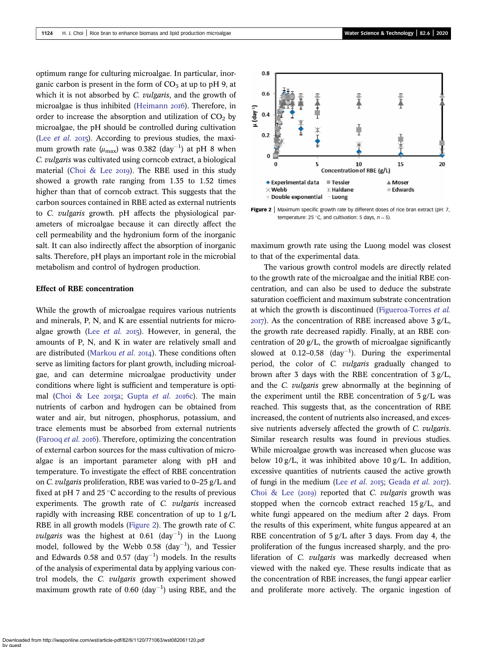optimum range for culturing microalgae. In particular, inorganic carbon is present in the form of  $CO<sub>3</sub>$  at up to pH 9, at which it is not absorbed by C. vulgaris, and the growth of microalgae is thus inhibited ([Heimann](#page-9-0) 2016). Therefore, in order to increase the absorption and utilization of  $CO<sub>2</sub>$  by microalgae, the pH should be controlled during cultivation (Lee *[et al.](#page-10-0)* 2015). According to previous studies, the maximum growth rate  $(\mu_{\rm max})$  was 0.382  ${\rm (day^{-1})}$  at pH 8 when C. vulgaris was cultivated using corncob extract, a biological material [\(Choi & Lee](#page-9-0) 2019). The RBE used in this study showed a growth rate ranging from 1.35 to 1.52 times higher than that of corncob extract. This suggests that the carbon sources contained in RBE acted as external nutrients to C. vulgaris growth. pH affects the physiological parameters of microalgae because it can directly affect the cell permeability and the hydronium form of the inorganic salt. It can also indirectly affect the absorption of inorganic salts. Therefore, pH plays an important role in the microbial metabolism and control of hydrogen production.

#### Effect of RBE concentration

While the growth of microalgae requires various nutrients and minerals, P, N, and K are essential nutrients for microalgae growth (Lee *[et al.](#page-10-0)* 2015). However, in general, the amounts of P, N, and K in water are relatively small and are distributed ([Markou](#page-10-0) *et al.* 2014). These conditions often serve as limiting factors for plant growth, including microalgae, and can determine microalgae productivity under conditions where light is sufficient and temperature is opti-mal ([Choi & Lee](#page-9-0) 2015a; [Gupta](#page-9-0) et al. 2016c). The main nutrients of carbon and hydrogen can be obtained from water and air, but nitrogen, phosphorus, potassium, and trace elements must be absorbed from external nutrients ([Farooq](#page-9-0) et al. 2016). Therefore, optimizing the concentration of external carbon sources for the mass cultivation of microalgae is an important parameter along with pH and temperature. To investigate the effect of RBE concentration on C. vulgaris proliferation, RBE was varied to 0–25 g/L and fixed at pH 7 and  $25^{\circ}$ C according to the results of previous experiments. The growth rate of C. vulgaris increased rapidly with increasing RBE concentration of up to 1 g/L RBE in all growth models (Figure 2). The growth rate of C. *vulgaris* was the highest at 0.61  $(\text{day}^{-1})$  in the Luong model, followed by the Webb 0.58  $(day^{-1})$ , and Tessier and Edwards 0.58 and 0.57  $\text{(day}^{-1}\text{)}$  models. In the results of the analysis of experimental data by applying various control models, the C. vulgaris growth experiment showed maximum growth rate of 0.60  $(\text{day}^{-1})$  using RBE, and the



**Figure 2** | Maximum specific growth rate by different doses of rice bran extract (pH: 7, temperature: 25 °C, and cultivation: 5 days,  $n = 5$ ).

maximum growth rate using the Luong model was closest to that of the experimental data.

The various growth control models are directly related to the growth rate of the microalgae and the initial RBE concentration, and can also be used to deduce the substrate saturation coefficient and maximum substrate concentration at which the growth is discontinued [\(Figueroa-Torres](#page-9-0) et al.  $20I7$ ). As the concentration of RBE increased above  $3 g/L$ , the growth rate decreased rapidly. Finally, at an RBE concentration of 20 g/L, the growth of microalgae significantly slowed at  $0.12-0.58$  (day<sup>-1</sup>). During the experimental period, the color of C. vulgaris gradually changed to brown after 3 days with the RBE concentration of 3 g/L, and the C. vulgaris grew abnormally at the beginning of the experiment until the RBE concentration of 5 g/L was reached. This suggests that, as the concentration of RBE increased, the content of nutrients also increased, and excessive nutrients adversely affected the growth of C. vulgaris. Similar research results was found in previous studies. While microalgae growth was increased when glucose was below 10 g/L, it was inhibited above 10 g/L. In addition, excessive quantities of nutrients caused the active growth of fungi in the medium (Lee *[et al.](#page-10-0)* 2015; [Geada](#page-9-0) *et al.* 2017). Choi & Lee  $(20I9)$  reported that C. vulgaris growth was stopped when the corncob extract reached 15 g/L, and white fungi appeared on the medium after 2 days. From the results of this experiment, white fungus appeared at an RBE concentration of 5 g/L after 3 days. From day 4, the proliferation of the fungus increased sharply, and the proliferation of C. vulgaris was markedly decreased when viewed with the naked eye. These results indicate that as the concentration of RBE increases, the fungi appear earlier and proliferate more actively. The organic ingestion of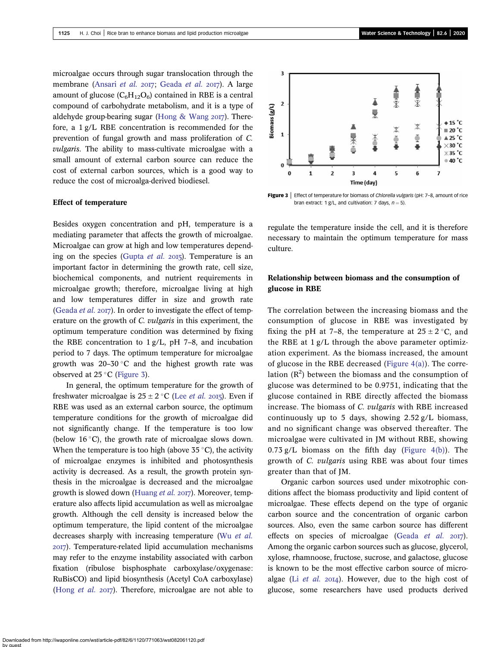microalgae occurs through sugar translocation through the membrane [\(Ansari](#page-9-0) et al. 2017; [Geada](#page-9-0) et al. 2017). A large amount of glucose  $(C_6H_{12}O_6)$  contained in RBE is a central compound of carbohydrate metabolism, and it is a type of aldehyde group-bearing sugar (Hong  $&$  Wang 2017). Therefore, a 1 g/L RBE concentration is recommended for the prevention of fungal growth and mass proliferation of C. vulgaris. The ability to mass-cultivate microalgae with a small amount of external carbon source can reduce the cost of external carbon sources, which is a good way to reduce the cost of microalga-derived biodiesel.

#### Effect of temperature

Besides oxygen concentration and pH, temperature is a mediating parameter that affects the growth of microalgae. Microalgae can grow at high and low temperatures depend-ing on the species ([Gupta](#page-9-0) *et al.* 2015). Temperature is an important factor in determining the growth rate, cell size, biochemical components, and nutrient requirements in microalgae growth; therefore, microalgae living at high and low temperatures differ in size and growth rate [\(Geada](#page-9-0) et al.  $2017$ ). In order to investigate the effect of temperature on the growth of C. vulgaris in this experiment, the optimum temperature condition was determined by fixing the RBE concentration to 1 g/L, pH 7–8, and incubation period to 7 days. The optimum temperature for microalgae growth was  $20-30$  °C and the highest growth rate was observed at  $25^{\circ}$ C (Figure 3).

In general, the optimum temperature for the growth of freshwater microalgae is  $25 \pm 2$  °C (Lee *[et al.](#page-10-0)* 2015). Even if RBE was used as an external carbon source, the optimum temperature conditions for the growth of microalgae did not significantly change. If the temperature is too low (below 16 $\degree$ C), the growth rate of microalgae slows down. When the temperature is too high (above  $35^{\circ}$ C), the activity of microalgae enzymes is inhibited and photosynthesis activity is decreased. As a result, the growth protein synthesis in the microalgae is decreased and the microalgae growth is slowed down ([Huang](#page-10-0) et al. 2017). Moreover, temperature also affects lipid accumulation as well as microalgae growth. Although the cell density is increased below the optimum temperature, the lipid content of the microalgae decreases sharply with increasing temperature (Wu [et al.](#page-10-0) ). Temperature-related lipid accumulation mechanisms may refer to the enzyme instability associated with carbon fixation (ribulose bisphosphate carboxylase/oxygenase: RuBisCO) and lipid biosynthesis (Acetyl CoA carboxylase) [\(Hong](#page-10-0) *et al.* 2017). Therefore, microalgae are not able to



Figure 3 | Effect of temperature for biomass of Chlorella vulgaris (pH: 7-8, amount of rice bran extract: 1 g/L, and cultivation: 7 days,  $n = 5$ ).

regulate the temperature inside the cell, and it is therefore necessary to maintain the optimum temperature for mass culture.

# Relationship between biomass and the consumption of glucose in RBE

The correlation between the increasing biomass and the consumption of glucose in RBE was investigated by fixing the pH at 7–8, the temperature at  $25 \pm 2$  °C, and the RBE at 1 g/L through the above parameter optimization experiment. As the biomass increased, the amount of glucose in the RBE decreased (Figure  $4(a)$ ). The correlation  $(R^2)$  between the biomass and the consumption of glucose was determined to be 0.9751, indicating that the glucose contained in RBE directly affected the biomass increase. The biomass of C. vulgaris with RBE increased continuously up to 5 days, showing 2.52 g/L biomass, and no significant change was observed thereafter. The microalgae were cultivated in JM without RBE, showing  $0.73$  g/L biomass on the fifth day ([Figure 4\(b\)](#page-6-0)). The growth of C. vulgaris using RBE was about four times greater than that of JM.

Organic carbon sources used under mixotrophic conditions affect the biomass productivity and lipid content of microalgae. These effects depend on the type of organic carbon source and the concentration of organic carbon sources. Also, even the same carbon source has different effects on species of microalgae ([Geada](#page-9-0) et al.  $2017$ ). Among the organic carbon sources such as glucose, glycerol, xylose, rhamnoose, fructose, sucrose, and galactose, glucose is known to be the most effective carbon source of microalgae (Li  $et$  al.  $20I4$ ). However, due to the high cost of glucose, some researchers have used products derived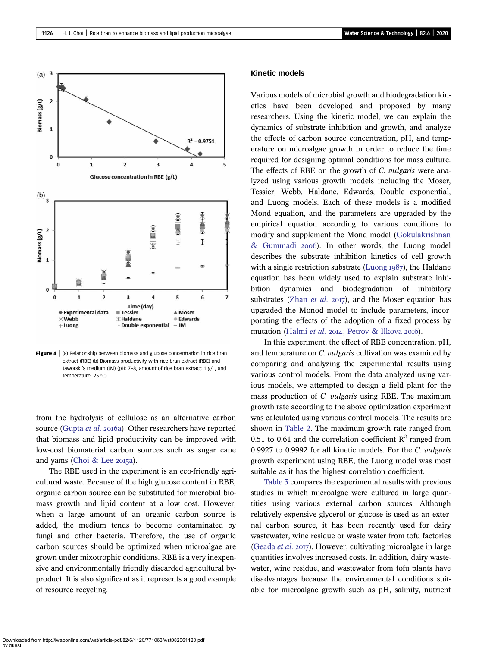<span id="page-6-0"></span>

Figure 4 | (a) Relationship between biomass and glucose concentration in rice bran extract (RBE) (b) Biomass productivity with rice bran extract (RBE) and Jaworski's medium (JM) (pH: 7–8, amount of rice bran extract: 1 g/L, and temperature: 25 °C).

from the hydrolysis of cellulose as an alternative carbon source ([Gupta](#page-9-0) et al. 2016a). Other researchers have reported that biomass and lipid productivity can be improved with low-cost biomaterial carbon sources such as sugar cane and yams [\(Choi & Lee](#page-9-0) 2015a).

The RBE used in the experiment is an eco-friendly agricultural waste. Because of the high glucose content in RBE, organic carbon source can be substituted for microbial biomass growth and lipid content at a low cost. However, when a large amount of an organic carbon source is added, the medium tends to become contaminated by fungi and other bacteria. Therefore, the use of organic carbon sources should be optimized when microalgae are grown under mixotrophic conditions. RBE is a very inexpensive and environmentally friendly discarded agricultural byproduct. It is also significant as it represents a good example of resource recycling.

#### Kinetic models

Various models of microbial growth and biodegradation kinetics have been developed and proposed by many researchers. Using the kinetic model, we can explain the dynamics of substrate inhibition and growth, and analyze the effects of carbon source concentration, pH, and temperature on microalgae growth in order to reduce the time required for designing optimal conditions for mass culture. The effects of RBE on the growth of C. vulgaris were analyzed using various growth models including the Moser, Tessier, Webb, Haldane, Edwards, Double exponential, and Luong models. Each of these models is a modified Mond equation, and the parameters are upgraded by the empirical equation according to various conditions to modify and supplement the Mond model [\(Gokulakrishnan](#page-9-0) [& Gummadi](#page-9-0) 2006). In other words, the Luong model describes the substrate inhibition kinetics of cell growth with a single restriction substrate [\(Luong](#page-10-0)  $1987$ ), the Haldane equation has been widely used to explain substrate inhibition dynamics and biodegradation of inhibitory substrates [\(Zhan](#page-10-0) *et al.* 2017), and the Moser equation has upgraded the Monod model to include parameters, incorporating the effects of the adoption of a fixed process by mutation [\(Halmi](#page-9-0) et al. 2014; [Petrov & Ilkova](#page-10-0) 2016).

In this experiment, the effect of RBE concentration, pH, and temperature on C. vulgaris cultivation was examined by comparing and analyzing the experimental results using various control models. From the data analyzed using various models, we attempted to design a field plant for the mass production of C. vulgaris using RBE. The maximum growth rate according to the above optimization experiment was calculated using various control models. The results are shown in [Table 2.](#page-7-0) The maximum growth rate ranged from 0.51 to 0.61 and the correlation coefficient  $R^2$  ranged from 0.9927 to 0.9992 for all kinetic models. For the C. vulgaris growth experiment using RBE, the Luong model was most suitable as it has the highest correlation coefficient.

[Table 3](#page-7-0) compares the experimental results with previous studies in which microalgae were cultured in large quantities using various external carbon sources. Although relatively expensive glycerol or glucose is used as an external carbon source, it has been recently used for dairy wastewater, wine residue or waste water from tofu factories ([Geada](#page-9-0) et al. 2017). However, cultivating microalgae in large quantities involves increased costs. In addition, dairy wastewater, wine residue, and wastewater from tofu plants have disadvantages because the environmental conditions suitable for microalgae growth such as pH, salinity, nutrient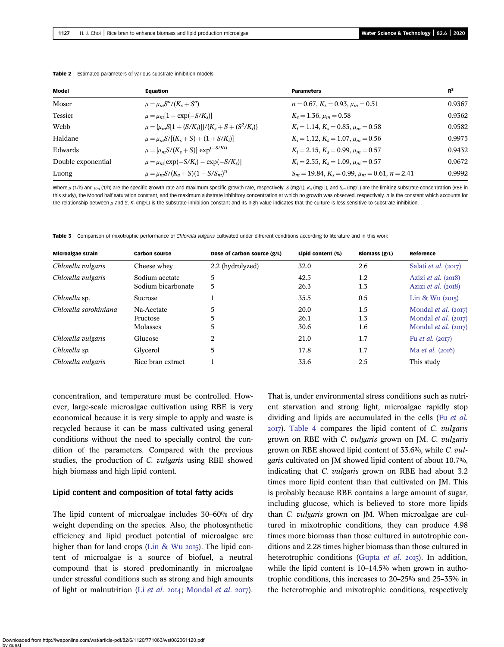| Model              | Equation                                             | <b>Parameters</b>                                 | $R^2$  |
|--------------------|------------------------------------------------------|---------------------------------------------------|--------|
| Moser              | $\mu = \mu_m S^n / (K_s + S^n)$                      | $n = 0.67, K_s = 0.93, \mu_m = 0.51$              | 0.9367 |
| Tessier            | $\mu = \mu_m [1 - \exp(-S/K_s)]$                     | $K_s = 1.36$ , $\mu_m = 0.58$                     | 0.9362 |
| Webb               | $\mu = {\mu_m S[1 + (S/K_i)]}/{K_s + S + (S^2/K_i)}$ | $K_i = 1.14, K_s = 0.83, \mu_m = 0.58$            | 0.9582 |
| Haldane            | $\mu = \mu_m S / [(K_s + S) + (1 + S/K_i)]$          | $K_i = 1.12, K_s = 1.07, \mu_m = 0.56$            | 0.9975 |
| Edwards            | $\mu = [\mu_m S / (K_s + S)] \exp^{(-S/Ki)}$         | $K_i = 2.15, K_s = 0.99, \mu_m = 0.57$            | 0.9432 |
| Double exponential | $\mu = \mu_m [\exp(-S/K_i) - \exp(-S/K_s)]$          | $K_i = 2.55, K_s = 1.09, \mu_m = 0.57$            | 0.9672 |
| Luong              | $\mu = \mu_m S/(K_s + S)(1 - S/S_m)^n$               | $S_m = 19.84, K_s = 0.99, \mu_m = 0.61, n = 2.41$ | 0.9992 |

<span id="page-7-0"></span>Table 2 | Estimated parameters of various substrate inhibition models

Where  $\mu$  (1/h) and  $\mu_m$  (1/h) are the specific growth rate and maximum specific growth rate, respectively. S (mg/L), K<sub>s</sub> (mg/L), and S<sub>m</sub> (mg/L) are the limiting substrate concentration (RBE in this study), the Monod half saturation constant, and the maximum substrate inhibitory concentration at which no growth was observed, respectively. n is the constant which accounts for the relationship between  $\mu$  and S. K<sub>i</sub> (mg/L) is the substrate inhibition constant and its high value indicates that the culture is less sensitive to substrate inhibition.

**Table 3** Comparison of mixotrophic performance of Chlorella vulgaris cultivated under different conditions according to literature and in this work

| <b>Microalgae strain</b> | <b>Carbon source</b>                 | Dose of carbon source (g/L) | Lipid content (%)    | Biomass (g/L)     | Reference                                                            |
|--------------------------|--------------------------------------|-----------------------------|----------------------|-------------------|----------------------------------------------------------------------|
| Chlorella vulgaris       | Cheese whey                          | 2.2 (hydrolyzed)            | 32.0                 | 2.6               | Salati et al. (2017)                                                 |
| Chlorella vulgaris       | Sodium acetate<br>Sodium bicarbonate | 5<br>5                      | 42.5<br>26.3         | 1.2<br>1.3        | Azizi et al. (2018)<br>Azizi et al. (2018)                           |
| Chlorella sp.            | Sucrose                              |                             | 35.5                 | 0.5               | Lin & Wu (2015)                                                      |
| Chlorella sorokiniana    | Na-Acetate<br>Fructose<br>Molasses   | 5<br>5<br>5                 | 20.0<br>26.1<br>30.6 | 1.5<br>1.3<br>1.6 | Mondal et al. (2017)<br>Mondal et al. (2017)<br>Mondal et al. (2017) |
| Chlorella vulgaris       | Glucose                              | 2                           | 21.0                 | 1.7               | Fu <i>et al.</i> $(2017)$                                            |
| Chlorella sp.            | Glycerol                             | 5                           | 17.8                 | 1.7               | Ma <i>et al.</i> $(2016)$                                            |
| Chlorella vulgaris       | Rice bran extract                    |                             | 33.6                 | 2.5               | This study                                                           |

concentration, and temperature must be controlled. However, large-scale microalgae cultivation using RBE is very economical because it is very simple to apply and waste is recycled because it can be mass cultivated using general conditions without the need to specially control the condition of the parameters. Compared with the previous studies, the production of C. vulgaris using RBE showed high biomass and high lipid content.

#### Lipid content and composition of total fatty acids

The lipid content of microalgae includes 30–60% of dry weight depending on the species. Also, the photosynthetic efficiency and lipid product potential of microalgae are higher than for land crops [\(Lin & Wu](#page-10-0)  $2015$ ). The lipid content of microalgae is a source of biofuel, a neutral compound that is stored predominantly in microalgae under stressful conditions such as strong and high amounts of light or malnutrition (Li [et al.](#page-10-0) 2014; [Mondal](#page-10-0) et al. 2017). That is, under environmental stress conditions such as nutrient starvation and strong light, microalgae rapidly stop dividing and lipids are accumulated in the cells (Fu [et al.](#page-9-0)  $2017$ ). [Table 4](#page-8-0) compares the lipid content of C. vulgaris grown on RBE with C. vulgaris grown on JM. C. vulgaris grown on RBE showed lipid content of 33.6%, while C. vulgaris cultivated on JM showed lipid content of about 10.7%, indicating that *C. vulgaris* grown on RBE had about 3.2 times more lipid content than that cultivated on JM. This is probably because RBE contains a large amount of sugar, including glucose, which is believed to store more lipids than C. vulgaris grown on JM. When microalgae are cultured in mixotrophic conditions, they can produce 4.98 times more biomass than those cultured in autotrophic conditions and 2.28 times higher biomass than those cultured in heterotrophic conditions ([Gupta](#page-9-0) et al. 2015). In addition, while the lipid content is 10–14.5% when grown in authotrophic conditions, this increases to 20–25% and 25–35% in the heterotrophic and mixotrophic conditions, respectively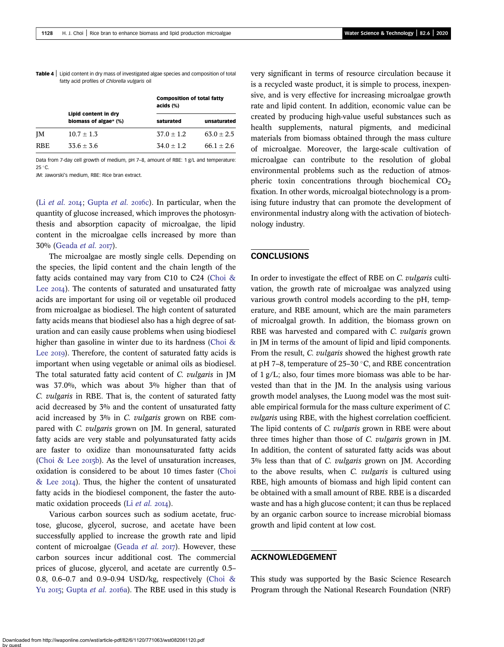<span id="page-8-0"></span>

| <b>Table 4</b> Lipid content in dry mass of investigated algae species and composition of total |
|-------------------------------------------------------------------------------------------------|
| fatty acid profiles of Chlorella vulgaris oil                                                   |

|            | Lipid content in dry<br>biomass of algae* (%) | <b>Composition of total fatty</b><br>acids (%) |                |  |
|------------|-----------------------------------------------|------------------------------------------------|----------------|--|
|            |                                               | saturated                                      | unsaturated    |  |
| ΙM         | $10.7 \pm 1.3$                                | $37.0 \pm 1.2$                                 | $63.0 \pm 2.5$ |  |
| <b>RBE</b> | $33.6 + 3.6$                                  | $34.0 + 1.2$                                   | $66.1 + 2.6$   |  |

Data from 7-day cell growth of medium, pH 7–8, amount of RBE: 1 g/L and temperature:  $25°C$ 

JM: Jaworski's medium, RBE: Rice bran extract.

(Li [et al.](#page-10-0) 2014; [Gupta](#page-9-0) et al. 2016c). In particular, when the quantity of glucose increased, which improves the photosynthesis and absorption capacity of microalgae, the lipid content in the microalgae cells increased by more than 30% [\(Geada](#page-9-0) et al. 2017).

The microalgae are mostly single cells. Depending on the species, the lipid content and the chain length of the fatty acids contained may vary from C10 to C24 ([Choi &](#page-9-0) Lee  $20I4$ ). The contents of saturated and unsaturated fatty acids are important for using oil or vegetable oil produced from microalgae as biodiesel. The high content of saturated fatty acids means that biodiesel also has a high degree of saturation and can easily cause problems when using biodiesel higher than gasoline in winter due to its hardness [\(Choi &](#page-9-0) Lee 2019). Therefore, the content of saturated fatty acids is important when using vegetable or animal oils as biodiesel. The total saturated fatty acid content of C. vulgaris in JM was 37.0%, which was about 3% higher than that of C. vulgaris in RBE. That is, the content of saturated fatty acid decreased by 3% and the content of unsaturated fatty acid increased by 3% in C. vulgaris grown on RBE compared with C. vulgaris grown on JM. In general, saturated fatty acids are very stable and polyunsaturated fatty acids are faster to oxidize than monounsaturated fatty acids ([Choi & Lee](#page-9-0)  $2015b$ ). As the level of unsaturation increases, oxidation is considered to be about 10 times faster ([Choi](#page-9-0)  $&$  Lee 2014). Thus, the higher the content of unsaturated fatty acids in the biodiesel component, the faster the automatic oxidation proceeds (Li  $et$  al.  $2014$ ).

Various carbon sources such as sodium acetate, fructose, glucose, glycerol, sucrose, and acetate have been successfully applied to increase the growth rate and lipid content of microalgae [\(Geada](#page-9-0) et al.  $2017$ ). However, these carbon sources incur additional cost. The commercial prices of glucose, glycerol, and acetate are currently 0.5– 0.8, 0.6–0.7 and 0.9–0.94 USD/kg, respectively ([Choi &](#page-9-0) Yu 2015; [Gupta](#page-9-0) et al. 2016a). The RBE used in this study is very significant in terms of resource circulation because it is a recycled waste product, it is simple to process, inexpensive, and is very effective for increasing microalgae growth rate and lipid content. In addition, economic value can be created by producing high-value useful substances such as health supplements, natural pigments, and medicinal materials from biomass obtained through the mass culture of microalgae. Moreover, the large-scale cultivation of microalgae can contribute to the resolution of global environmental problems such as the reduction of atmospheric toxin concentrations through biochemical  $CO<sub>2</sub>$ fixation. In other words, microalgal biotechnology is a promising future industry that can promote the development of environmental industry along with the activation of biotechnology industry.

### **CONCLUSIONS**

In order to investigate the effect of RBE on C. vulgaris cultivation, the growth rate of microalgae was analyzed using various growth control models according to the pH, temperature, and RBE amount, which are the main parameters of microalgal growth. In addition, the biomass grown on RBE was harvested and compared with C. vulgaris grown in JM in terms of the amount of lipid and lipid components. From the result, C. *vulgaris* showed the highest growth rate at pH 7–8, temperature of  $25-30$  °C, and RBE concentration of 1 g/L; also, four times more biomass was able to be harvested than that in the JM. In the analysis using various growth model analyses, the Luong model was the most suitable empirical formula for the mass culture experiment of C. vulgaris using RBE, with the highest correlation coefficient. The lipid contents of C. *vulgaris* grown in RBE were about three times higher than those of C. vulgaris grown in JM. In addition, the content of saturated fatty acids was about 3% less than that of C. vulgaris grown on JM. According to the above results, when *C. vulgaris* is cultured using RBE, high amounts of biomass and high lipid content can be obtained with a small amount of RBE. RBE is a discarded waste and has a high glucose content; it can thus be replaced by an organic carbon source to increase microbial biomass growth and lipid content at low cost.

#### ACKNOWLEDGEMENT

This study was supported by the Basic Science Research Program through the National Research Foundation (NRF)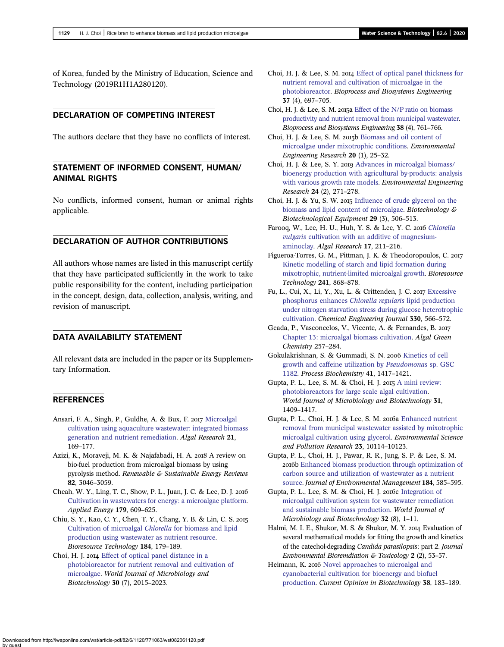<span id="page-9-0"></span>of Korea, funded by the Ministry of Education, Science and Technology (2019R1H1A280120).

## DECLARATION OF COMPETING INTEREST

The authors declare that they have no conflicts of interest.

# STATEMENT OF INFORMED CONSENT, HUMAN/ ANIMAL RIGHTS

No conflicts, informed consent, human or animal rights applicable.

## DECLARATION OF AUTHOR CONTRIBUTIONS

All authors whose names are listed in this manuscript certify that they have participated sufficiently in the work to take public responsibility for the content, including participation in the concept, design, data, collection, analysis, writing, and revision of manuscript.

## DATA AVAILABILITY STATEMENT

All relevant data are included in the paper or its Supplementary Information.

## **REFERENCES**

- Ansari, F. A., Singh, P., Guldhe, A. & Bux, F. 2017 [Microalgal](http://dx.doi.org/10.1016/j.algal.2016.11.015) [cultivation using aquaculture wastewater: integrated biomass](http://dx.doi.org/10.1016/j.algal.2016.11.015) [generation and nutrient remediation](http://dx.doi.org/10.1016/j.algal.2016.11.015). Algal Research 21, 169–177.
- Azizi, K., Moraveji, M. K. & Najafabadi, H. A. 2018 A review on bio-fuel production from microalgal biomass by using pyrolysis method. Renewable & Sustainable Energy Reviews 82, 3046–3059.
- Cheah, W. Y., Ling, T. C., Show, P. L., Juan, J. C. & Lee, D. J. [Cultivation in wastewaters for energy: a microalgae platform.](http://dx.doi.org/10.1016/j.apenergy.2016.07.015) Applied Energy 179, 609–625.
- Chiu, S. Y., Kao, C. Y., Chen, T. Y., Chang, Y. B. & Lin, C. S. [Cultivation of microalgal](http://dx.doi.org/10.1016/j.biortech.2014.11.080) Chlorella for biomass and lipid [production using wastewater as nutrient resource.](http://dx.doi.org/10.1016/j.biortech.2014.11.080) Bioresource Technology 184, 179–189.
- Choi, H. J. 2014 [Effect of optical panel distance in a](http://dx.doi.org/10.1007/s11274-014-1626-z) [photobioreactor for nutrient removal and cultivation of](http://dx.doi.org/10.1007/s11274-014-1626-z) [microalgae.](http://dx.doi.org/10.1007/s11274-014-1626-z) World Journal of Microbiology and Biotechnology 30 (7), 2015–2023.
- Choi, H. J. & Lee, S. M. 2014 [Effect of optical panel thickness for](http://dx.doi.org/10.1007/s00449-013-1039-7) [nutrient removal and cultivation of microalgae in the](http://dx.doi.org/10.1007/s00449-013-1039-7) [photobioreactor.](http://dx.doi.org/10.1007/s00449-013-1039-7) Bioprocess and Biosystems Engineering 37 (4), 697–705.
- Choi, H. J. & Lee, S. M. 2015a [Effect of the N/P ratio on biomass](http://dx.doi.org/10.1007/s00449-014-1317-z) [productivity and nutrient removal from municipal wastewater](http://dx.doi.org/10.1007/s00449-014-1317-z). Bioprocess and Biosystems Engineering 38 (4), 761–766.
- Choi, H. J. & Lee, S. M. 2015b [Biomass and oil content of](http://dx.doi.org/10.4491/eer.2014.043) [microalgae under mixotrophic conditions](http://dx.doi.org/10.4491/eer.2014.043). Environmental Engineering Research 20 (1), 25–32.
- Choi, H. J. & Lee, S. Y. 2019 [Advances in microalgal biomass/](http://dx.doi.org/10.4491/eer.2018.193) [bioenergy production with agricultural by-products: analysis](http://dx.doi.org/10.4491/eer.2018.193) [with various growth rate models.](http://dx.doi.org/10.4491/eer.2018.193) Environmental Engineering Research 24 (2), 271–278.
- Choi, H. J. & Yu, S. W. 2015 [Influence of crude glycerol on the](http://dx.doi.org/10.1080/13102818.2015.1013988) [biomass and lipid content of microalgae.](http://dx.doi.org/10.1080/13102818.2015.1013988) Biotechnology & Biotechnological Equipment 29 (3), 506–513.
- Farooq, W., Lee, H. U., Huh, Y. S. & Lee, Y. C. 2016 [Chlorella](http://dx.doi.org/10.1016/j.algal.2016.05.004) vulgaris [cultivation with an additive of magnesium](http://dx.doi.org/10.1016/j.algal.2016.05.004)[aminoclay](http://dx.doi.org/10.1016/j.algal.2016.05.004). Algal Research 17, 211–216.
- Figueroa-Torres, G. M., Pittman, J. K. & Theodoropoulos, C. [Kinetic modelling of starch and lipid formation during](http://dx.doi.org/10.1016/j.biortech.2017.05.177) [mixotrophic, nutrient-limited microalgal growth.](http://dx.doi.org/10.1016/j.biortech.2017.05.177) Bioresource Technology 241, 868–878.
- Fu, L., Cui, X., Li, Y., Xu, L. & Crittenden, J. C. 2017 [Excessive](http://dx.doi.org/10.1016/j.cej.2017.07.182) [phosphorus enhances](http://dx.doi.org/10.1016/j.cej.2017.07.182) Chlorella regularis lipid production [under nitrogen starvation stress during glucose heterotrophic](http://dx.doi.org/10.1016/j.cej.2017.07.182) [cultivation](http://dx.doi.org/10.1016/j.cej.2017.07.182). Chemical Engineering Journal 330, 566–572.
- Geada, P., Vasconcelos, V., Vicente, A. & Fernandes, B. [Chapter 13: microalgal biomass cultivation.](http://dx.doi.org/10.1016/B978-0-444-63784-0.00013-8) Algal Green Chemistry 257–284.
- Gokulakrishnan, S. & Gummadi, S. N. 2006 [Kinetics of cell](http://dx.doi.org/10.1016/j.procbio.2005.12.018) [growth and caffeine utilization by](http://dx.doi.org/10.1016/j.procbio.2005.12.018) Pseudomonas sp. GSC [1182.](http://dx.doi.org/10.1016/j.procbio.2005.12.018) Process Biochemistry 41, 1417–1421.
- Gupta, P. L., Lee, S. M. & Choi, H. J. 2015 [A mini review:](http://dx.doi.org/10.1007/s11274-015-1892-4) [photobioreactors for large scale algal cultivation](http://dx.doi.org/10.1007/s11274-015-1892-4). World Journal of Microbiology and Biotechnology 31, 1409–1417.
- Gupta, P. L., Choi, H. J. & Lee, S. M. 2016a [Enhanced nutrient](http://dx.doi.org/10.1007/s11356-016-6224-1) [removal from municipal wastewater assisted by mixotrophic](http://dx.doi.org/10.1007/s11356-016-6224-1) [microalgal cultivation using glycerol.](http://dx.doi.org/10.1007/s11356-016-6224-1) Environmental Science and Pollution Research 23, 10114–10123.
- Gupta, P. L., Choi, H. J., Pawar, R. R., Jung, S. P. & Lee, S. M. b [Enhanced biomass production through optimization of](http://dx.doi.org/10.1016/j.jenvman.2016.10.018) [carbon source and utilization of wastewater as a nutrient](http://dx.doi.org/10.1016/j.jenvman.2016.10.018) [source](http://dx.doi.org/10.1016/j.jenvman.2016.10.018). Journal of Environmental Management 184, 585–595.
- Gupta, P. L., Lee, S. M. & Choi, H. J. 2016c [Integration of](http://dx.doi.org/10.1007/s11274-016-2090-8) [microalgal cultivation system for wastewater remediation](http://dx.doi.org/10.1007/s11274-016-2090-8) [and sustainable biomass production.](http://dx.doi.org/10.1007/s11274-016-2090-8) World Journal of Microbiology and Biotechnology 32 (8), 1–11.
- Halmi, M. I. E., Shukor, M. S. & Shukor, M. Y. 2014 Evaluation of several methematical models for fitting the growth and kinetics of the catechol-degrading Candida parasilopsis: part 2. Journal Environmental Bioremdiation & Toxicology 2 (2), 53–57.
- Heimann, K. 2016 [Novel approaches to microalgal and](http://dx.doi.org/10.1016/j.copbio.2016.02.024) [cyanobacterial cultivation for bioenergy and biofuel](http://dx.doi.org/10.1016/j.copbio.2016.02.024) [production.](http://dx.doi.org/10.1016/j.copbio.2016.02.024) Current Opinion in Biotechnology 38, 183–189.